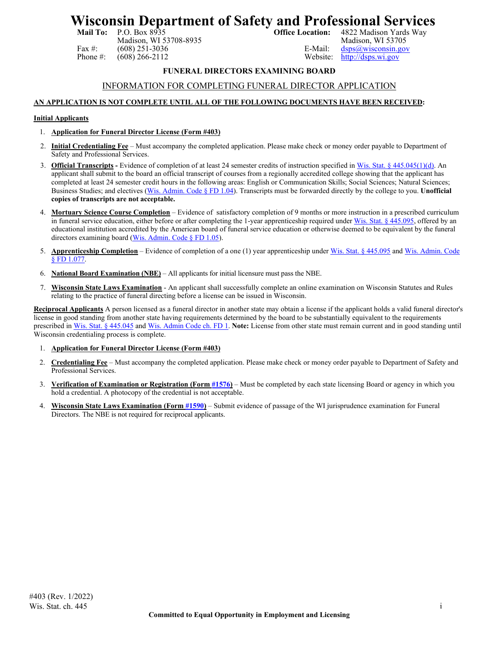# **Wisconsin Department of Safety and Professional Services**<br>Mail To: P.O. Box 8935<br>Office Location: 4822 Madison Yards Way

Madison, WI 53708-8935

4822 Madison Yards Way<br>Madison, WI 53705 Fax #: (608) 251-3036<br>
Phone #: (608) 266-2112<br>
Website: http://dsps.wi.gov [http://dsps.wi.gov](http://dsps.wi.gov/)

### **FUNERAL DIRECTORS EXAMINING BOARD**

#### INFORMATION FOR COMPLETING FUNERAL DIRECTOR APPLICATION

#### **AN APPLICATION IS NOT COMPLETE UNTIL ALL OF THE FOLLOWING DOCUMENTS HAVE BEEN RECEIVED:**

#### **Initial Applicants**

- 1. **Application for Funeral Director License (Form #403)**
- 2. **Initial Credentialing Fee** Must accompany the completed application. Please make check or money order payable to Department of Safety and Professional Services.
- 3. **Official Transcripts** Evidence of completion of at least 24 semester credits of instruction specified in [Wis. Stat. § 445.045\(1\)\(d\).](https://docs.legis.wisconsin.gov/statutes/statutes/445/045/1/d) An applicant shall submit to the board an official transcript of courses from a regionally accredited college showing that the applicant has completed at least 24 semester credit hours in the following areas: English or Communication Skills; Social Sciences; Natural Sciences; Business Studies; and electives [\(Wis. Admin. Code § FD 1.04\)](https://docs.legis.wisconsin.gov/document/administrativecode/FD%201.04). Transcripts must be forwarded directly by the college to you. **Unofficial copies of transcripts are not acceptable.**
- 4. **Mortuary Science Course Completion** Evidence of satisfactory completion of 9 months or more instruction in a prescribed curriculum in funeral service education, either before or after completing the 1-year apprenticeship required unde[r Wis. Stat. § 445.095,](https://docs.legis.wisconsin.gov/statutes/statutes/445/095) offered by an educational institution accredited by the American board of funeral service education or otherwise deemed to be equivalent by the funeral directors examining board [\(Wis. Admin. Code § FD 1.05\)](https://docs.legis.wisconsin.gov/document/administrativecode/FD%201.05).
- 5. **Apprenticeship Completion** Evidence of completion of a one (1) year apprenticeship unde[r Wis. Stat. § 445.095](https://docs.legis.wisconsin.gov/statutes/statutes/445/095) an[d Wis. Admin. Code](https://docs.legis.wisconsin.gov/document/administrativecode/FD%201.077) [§ FD 1.077.](https://docs.legis.wisconsin.gov/document/administrativecode/FD%201.077)
- 6. **National Board Examination (NBE)** All applicants for initial licensure must pass the NBE.
- 7. **Wisconsin State Laws Examination** An applicant shall successfully complete an online examination on Wisconsin Statutes and Rules relating to the practice of funeral directing before a license can be issued in Wisconsin.

**Reciprocal Applicants** A person licensed as a funeral director in another state may obtain a license if the applicant holds a valid funeral director's license in good standing from another state having requirements determined by the board to be substantially equivalent to the requirements prescribed i[n Wis. Stat. § 445.045](https://docs.legis.wisconsin.gov/document/statutes/445.045) an[d Wis. Admin Code ch. FD 1.](https://docs.legis.wisconsin.gov/code/admin_code/fd/1) **Note:** License from other state must remain current and in good standing until Wisconsin credentialing process is complete.

- 1. **Application for Funeral Director License (Form #403)**
- 2. **Credentialing Fee** Must accompany the completed application. Please make check or money order payable to Department of Safety and Professional Services.
- 3. **Verification of Examination or Registration (Form [#1576\)](https://dsps.wi.gov/Credentialing/Business/fm1576.pdf)** Must be completed by each state licensing Board or agency in which you hold a credential. A photocopy of the credential is not acceptable.
- 4. **Wisconsin State Laws Examination (Form [#1590\)](https://dsps.wi.gov/Credentialing/Business/fm1590.pdf)** Submit evidence of passage of the WI jurisprudence examination for Funeral Directors. The NBE is not required for reciprocal applicants.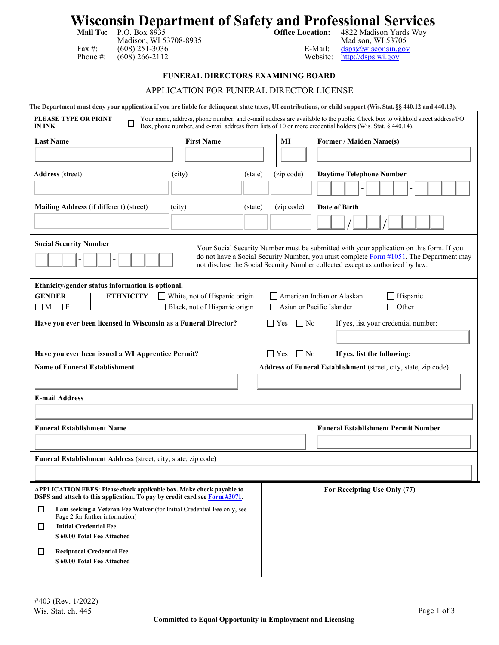# **Wisconsin Department of Safety and Professional Services**

| Mail To: |  |
|----------|--|
|          |  |
|          |  |

**Mail To:** P.O. Box 8935 **Office Location:** 4822 Madison Yards Way Madison, WI 53708-8935<br>
(608) 251-3036<br>
Madison, WI 53705<br>
E-Mail:  $\frac{d_{\text{SPS}}(a_{\text{w}})}{d_{\text{SPS}}(a_{\text{w}})}$ Fax #: (608) 251-3036<br>
Phone #: (608) 266-2112<br>
The Best external extension of the extension of the Hail: [dsps@wisconsin.gov](mailto:dsps@wisconsin.gov) [http://dsps.wi.gov](http://dsps.wi.gov/)

### **FUNERAL DIRECTORS EXAMINING BOARD**

#### APPLICATION FOR FUNERAL DIRECTOR LICENSE

| The Department must deny your application if you are liable for delinguent state taxes, UI contributions, or child support (Wis. Stat. §§ 440.12 and 440.13). |                                                                       |                         |                                                                                                                                                                                                                                       |
|---------------------------------------------------------------------------------------------------------------------------------------------------------------|-----------------------------------------------------------------------|-------------------------|---------------------------------------------------------------------------------------------------------------------------------------------------------------------------------------------------------------------------------------|
| <b>PLEASE TYPE OR PRINT</b><br>ப<br><b>IN INK</b>                                                                                                             |                                                                       |                         | Your name, address, phone number, and e-mail address are available to the public. Check box to withhold street address/PO<br>Box, phone number, and e-mail address from lists of 10 or more credential holders (Wis. Stat. § 440.14). |
| <b>Last Name</b>                                                                                                                                              | <b>First Name</b>                                                     | MI                      | <b>Former / Maiden Name(s)</b>                                                                                                                                                                                                        |
|                                                                                                                                                               |                                                                       |                         |                                                                                                                                                                                                                                       |
| <b>Address</b> (street)<br>(city)                                                                                                                             | (state)                                                               | (zip code)              | <b>Daytime Telephone Number</b>                                                                                                                                                                                                       |
|                                                                                                                                                               |                                                                       |                         |                                                                                                                                                                                                                                       |
| Mailing Address (if different) (street)<br>(city)                                                                                                             | (state)                                                               | (zip code)              | <b>Date of Birth</b>                                                                                                                                                                                                                  |
|                                                                                                                                                               |                                                                       |                         |                                                                                                                                                                                                                                       |
| <b>Social Security Number</b>                                                                                                                                 |                                                                       |                         | Your Social Security Number must be submitted with your application on this form. If you                                                                                                                                              |
|                                                                                                                                                               |                                                                       |                         | do not have a Social Security Number, you must complete Form #1051. The Department may<br>not disclose the Social Security Number collected except as authorized by law.                                                              |
| Ethnicity/gender status information is optional.                                                                                                              |                                                                       |                         |                                                                                                                                                                                                                                       |
| <b>GENDER</b><br><b>ETHNICITY</b><br>$\Box M \Box F$                                                                                                          | $\Box$ White, not of Hispanic origin<br>Black, not of Hispanic origin |                         | American Indian or Alaskan<br>Hispanic<br>$\Box$ Other<br>Asian or Pacific Islander                                                                                                                                                   |
| Have you ever been licensed in Wisconsin as a Funeral Director?                                                                                               |                                                                       | $\Box$ Yes<br>$\Box$ No | If yes, list your credential number:                                                                                                                                                                                                  |
|                                                                                                                                                               |                                                                       |                         |                                                                                                                                                                                                                                       |
| Have you ever been issued a WI Apprentice Permit?                                                                                                             |                                                                       | $\Box$ No<br>$\Box$ Yes | If yes, list the following:                                                                                                                                                                                                           |
| <b>Name of Funeral Establishment</b>                                                                                                                          |                                                                       |                         | Address of Funeral Establishment (street, city, state, zip code)                                                                                                                                                                      |
|                                                                                                                                                               |                                                                       |                         |                                                                                                                                                                                                                                       |
| <b>E-mail Address</b>                                                                                                                                         |                                                                       |                         |                                                                                                                                                                                                                                       |
|                                                                                                                                                               |                                                                       |                         |                                                                                                                                                                                                                                       |
| <b>Funeral Establishment Name</b>                                                                                                                             |                                                                       |                         | <b>Funeral Establishment Permit Number</b>                                                                                                                                                                                            |
|                                                                                                                                                               |                                                                       |                         |                                                                                                                                                                                                                                       |
| Funeral Establishment Address (street, city, state, zip code)                                                                                                 |                                                                       |                         |                                                                                                                                                                                                                                       |
|                                                                                                                                                               |                                                                       |                         |                                                                                                                                                                                                                                       |
| APPLICATION FEES: Please check applicable box. Make check payable to<br>DSPS and attach to this application. To pay by credit card see Form #3071.            |                                                                       |                         | For Receipting Use Only (77)                                                                                                                                                                                                          |
| $\perp$<br>I am seeking a Veteran Fee Waiver (for Initial Credential Fee only, see                                                                            |                                                                       |                         |                                                                                                                                                                                                                                       |
| Page 2 for further information)                                                                                                                               |                                                                       |                         |                                                                                                                                                                                                                                       |
| <b>Initial Credential Fee</b><br>$\perp$<br>\$60.00 Total Fee Attached                                                                                        |                                                                       |                         |                                                                                                                                                                                                                                       |
| <b>Reciprocal Credential Fee</b><br>$\Box$                                                                                                                    |                                                                       |                         |                                                                                                                                                                                                                                       |
| \$60.00 Total Fee Attached                                                                                                                                    |                                                                       |                         |                                                                                                                                                                                                                                       |
|                                                                                                                                                               |                                                                       |                         |                                                                                                                                                                                                                                       |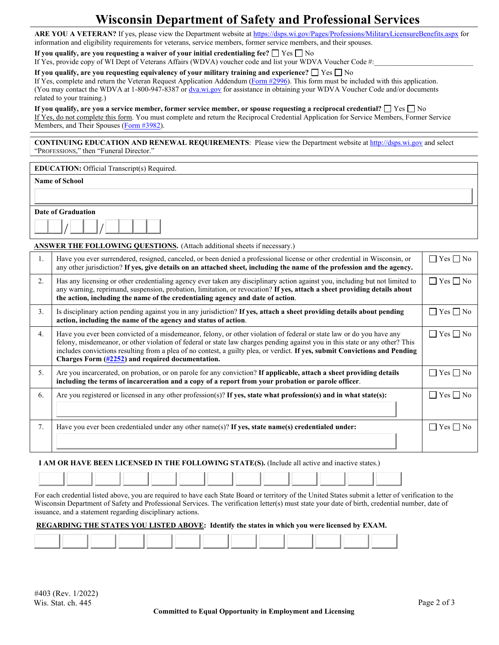### **Wisconsin Department of Safety and Professional Services**

**ARE YOU A VETERAN?** If yes, please view the Department website at<https://dsps.wi.gov/Pages/Professions/MilitaryLicensureBenefits.aspx> for information and eligibility requirements for veterans, service members, former service members, and their spouses.

**If you qualify, are you requesting a waiver of your initial credentialing fee?**  $\Box$  Yes  $\Box$  No

If Yes, provide copy of WI Dept of Veterans Affairs (WDVA) voucher code and list your WDVA Voucher Code #:

#### **If you qualify, are you requesting equivalency of your military training and experience?**  $\Box$  Yes  $\Box$  No

If Yes, complete and return the Veteran Request Application Addendum [\(Form #2996\)](https://dsps.wi.gov/Credentialing/General/Veteran/FM2996.pdf). This form must be included with this application. (You may contact the WDVA at 1-800-947-8387 o[r dva.wi.gov](https://dva.wi.gov/Pages/Home.aspx) for assistance in obtaining your WDVA Voucher Code and/or documents related to your training.)

#### **If you qualify, are you a service member, former service member, or spouse requesting a reciprocal credential?**  $\Box$  Yes  $\Box$  No

If Yes, do not complete this form. You must complete and return the Reciprocal Credential Application for Service Members, Former Service Members, and Their Spouses [\(Form #3982\)](https://dsps.wi.gov/Credentialing/General/Veteran/fm3982.pdf).

**CONTINUING EDUCATION AND RENEWAL REQUIREMENTS**: Please view the Department website a[t http://dsps.wi.gov](http://dsps.wi.gov/) and select "PROFESSIONS," then "Funeral Director."

**Name of School**

| <b>Date of Graduation</b> |  |  |  |  |  |  |  |  |  |  |
|---------------------------|--|--|--|--|--|--|--|--|--|--|
|                           |  |  |  |  |  |  |  |  |  |  |

#### **ANSWER THE FOLLOWING QUESTIONS.** (Attach additional sheets if necessary.)

| 1. | Have you ever surrendered, resigned, canceled, or been denied a professional license or other credential in Wisconsin, or<br>any other jurisdiction? If yes, give details on an attached sheet, including the name of the profession and the agency.                                                                                                                                                                                                | $Yes \Box No$        |
|----|-----------------------------------------------------------------------------------------------------------------------------------------------------------------------------------------------------------------------------------------------------------------------------------------------------------------------------------------------------------------------------------------------------------------------------------------------------|----------------------|
| 2. | Has any licensing or other credentialing agency ever taken any disciplinary action against you, including but not limited to<br>any warning, reprimand, suspension, probation, limitation, or revocation? If yes, attach a sheet providing details about<br>the action, including the name of the credentialing agency and date of action.                                                                                                          | Yes $\Box$ No        |
| 3. | Is disciplinary action pending against you in any jurisdiction? If yes, attach a sheet providing details about pending<br>action, including the name of the agency and status of action.                                                                                                                                                                                                                                                            | $Yes \Box No$        |
| 4. | Have you ever been convicted of a misdemeanor, felony, or other violation of federal or state law or do you have any<br>felony, misdemeanor, or other violation of federal or state law charges pending against you in this state or any other? This<br>includes convictions resulting from a plea of no contest, a guilty plea, or verdict. If yes, submit Convictions and Pending<br>Charges Form $(\frac{\#2252}{})$ and required documentation. | $\Box$ Yes $\Box$ No |
| 5. | Are you incarcerated, on probation, or on parole for any conviction? If applicable, attach a sheet providing details<br>including the terms of incarceration and a copy of a report from your probation or parole officer.                                                                                                                                                                                                                          | Yes     No           |
| 6. | Are you registered or licensed in any other profession(s)? If yes, state what profession(s) and in what state(s):                                                                                                                                                                                                                                                                                                                                   | Yes ∏ No             |
| 7. | Have you ever been credentialed under any other name(s)? If yes, state name(s) credentialed under:                                                                                                                                                                                                                                                                                                                                                  | Yes No               |

#### **I AM OR HAVE BEEN LICENSED IN THE FOLLOWING STATE(S).** (Include all active and inactive states.)

For each credential listed above, you are required to have each State Board or territory of the United States submit a letter of verification to the Wisconsin Department of Safety and Professional Services. The verification letter(s) must state your date of birth, credential number, date of issuance, and a statement regarding disciplinary actions.

#### **REGARDING THE STATES YOU LISTED ABOVE: Identify the states in which you were licensed by EXAM.**